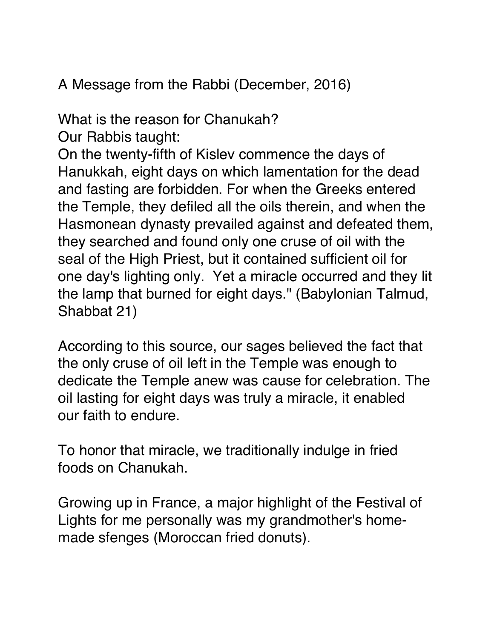A Message from the Rabbi (December, 2016)

What is the reason for Chanukah?

Our Rabbis taught:

On the twenty-fifth of Kislev commence the days of Hanukkah, eight days on which lamentation for the dead and fasting are forbidden. For when the Greeks entered the Temple, they defiled all the oils therein, and when the Hasmonean dynasty prevailed against and defeated them, they searched and found only one cruse of oil with the seal of the High Priest, but it contained sufficient oil for one day's lighting only. Yet a miracle occurred and they lit the lamp that burned for eight days." (Babylonian Talmud, Shabbat 21)

According to this source, our sages believed the fact that the only cruse of oil left in the Temple was enough to dedicate the Temple anew was cause for celebration. The oil lasting for eight days was truly a miracle, it enabled our faith to endure.

To honor that miracle, we traditionally indulge in fried foods on Chanukah.

Growing up in France, a major highlight of the Festival of Lights for me personally was my grandmother's homemade sfenges (Moroccan fried donuts).